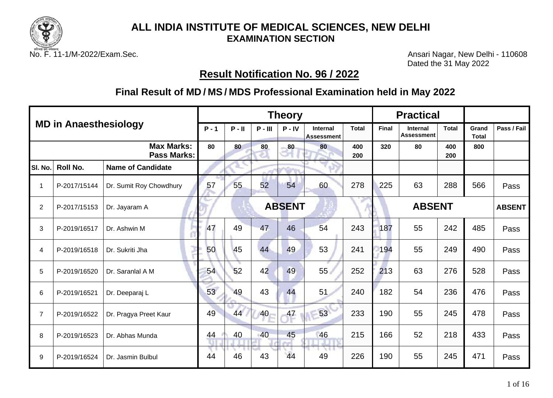

No. F. 11-1/M-2022/Exam.Sec. **Ansari Nagar, New Delhi - 110608** Dated the 31 May 2022

## **Result Notification No. 96 / 2022**

|                |                              |                                         |         |          |           | <b>Theory</b> |                                      |              |              | <b>Practical</b>                     |              |                       |               |
|----------------|------------------------------|-----------------------------------------|---------|----------|-----------|---------------|--------------------------------------|--------------|--------------|--------------------------------------|--------------|-----------------------|---------------|
|                | <b>MD in Anaesthesiology</b> |                                         | $P - 1$ | $P - II$ | $P - III$ | $P - IV$      | <b>Internal</b><br><b>Assessment</b> | <b>Total</b> | <b>Final</b> | <b>Internal</b><br><b>Assessment</b> | <b>Total</b> | Grand<br><b>Total</b> | Pass / Fail   |
|                |                              | <b>Max Marks:</b><br><b>Pass Marks:</b> | 80      | 80       | 80        | 80            | 80                                   | 400<br>200   | 320          | 80                                   | 400<br>200   | 800                   |               |
| SI. No.        | Roll No.                     | <b>Name of Candidate</b>                |         |          |           |               |                                      |              |              |                                      |              |                       |               |
|                | P-2017/15144                 | Dr. Sumit Roy Chowdhury                 | 57      | 55       | 52        | 54            | 60                                   | 278          | 225          | 63                                   | 288          | 566                   | Pass          |
| $\overline{2}$ | P-2017/15153                 | Dr. Jayaram A                           |         |          |           | <b>ABSENT</b> |                                      |              |              | <b>ABSENT</b>                        |              |                       | <b>ABSENT</b> |
| 3              | P-2019/16517                 | Dr. Ashwin M                            | 47      | 49       | 47        | 46            | 54                                   | 243          | 187          | 55                                   | 242          | 485                   | Pass          |
| 4              | P-2019/16518                 | Dr. Sukriti Jha                         | 50      | 45       | 44        | 49            | 53                                   | 241          | 194          | 55                                   | 249          | 490                   | Pass          |
| 5              | P-2019/16520                 | Dr. Saranlal A M                        | 54      | 52       | 42        | 49            | 55                                   | 252          | 213          | 63                                   | 276          | 528                   | Pass          |
| 6              | P-2019/16521                 | Dr. Deeparaj L                          | 53      | 49       | 43        | 44            | 51                                   | 240          | 182          | 54                                   | 236          | 476                   | Pass          |
| $\overline{7}$ | P-2019/16522                 | Dr. Pragya Preet Kaur                   | 49      | 44       | 40        | 47            | 53                                   | 233          | 190          | 55                                   | 245          | 478                   | Pass          |
| 8              | P-2019/16523                 | Dr. Abhas Munda                         | 44      | 40       | 40        | 45            | 46                                   | 215          | 166          | 52                                   | 218          | 433                   | Pass          |
| 9              | P-2019/16524                 | Dr. Jasmin Bulbul                       | 44      | 46       | 43        | 44            | N.E<br>49                            | 226          | 190          | 55                                   | 245          | 471                   | Pass          |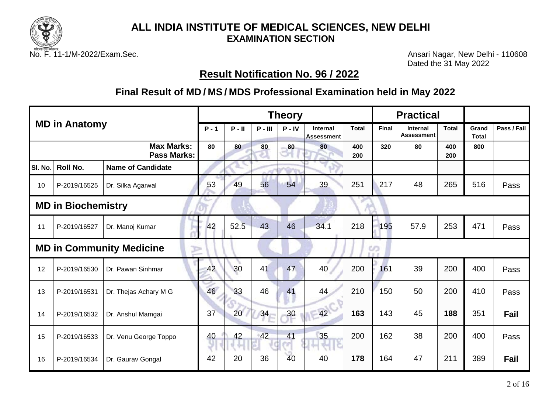

No. F. 11-1/M-2022/Exam.Sec. **Ansari Nagar, New Delhi - 110608** Dated the 31 May 2022

## **Result Notification No. 96 / 2022**

|         |                           |                                                  |         |          |           | <b>Theory</b> |                                      |              |               | <b>Practical</b>                     |              |                       |             |
|---------|---------------------------|--------------------------------------------------|---------|----------|-----------|---------------|--------------------------------------|--------------|---------------|--------------------------------------|--------------|-----------------------|-------------|
|         | <b>MD in Anatomy</b>      |                                                  | $P - 1$ | $P - II$ | $P - III$ | $P - IV$      | <b>Internal</b><br><b>Assessment</b> | <b>Total</b> | <b>Final</b>  | <b>Internal</b><br><b>Assessment</b> | <b>Total</b> | Grand<br><b>Total</b> | Pass / Fail |
|         |                           | <b>Max Marks:</b><br><b>Pass Marks:</b>          | 80      | 80       | 80        | 80            | 80                                   | 400<br>200   | 320           | 80                                   | 400<br>200   | 800                   |             |
| SI. No. | <b>Roll No.</b>           | <b>Name of Candidate</b>                         |         |          |           |               |                                      |              |               |                                      |              |                       |             |
| 10      | P-2019/16525              | Dr. Silka Agarwal                                | 53      | 49       | 56        | 54            | 39                                   | 251          | 217           | 48                                   | 265          | 516                   | Pass        |
|         | <b>MD in Biochemistry</b> |                                                  |         |          |           |               |                                      | s            |               |                                      |              |                       |             |
| 11      | P-2019/16527              | Dr. Manoj Kumar                                  | 42      | 52.5     | 43        | 46            | 34.1                                 | 218          | 195           | 57.9                                 | 253          | 471                   | Pass        |
|         |                           | <b>MD in Community Medicine</b><br>$\Rightarrow$ |         |          |           |               |                                      |              | en<br>E at at |                                      |              |                       |             |
| 12      | P-2019/16530              | Dr. Pawan Sinhmar                                | 42      | 30       | 41        | 47            | 40                                   | 200          | 161           | 39                                   | 200          | 400                   | Pass        |
| 13      | P-2019/16531              | Dr. Thejas Achary M G                            | 46      | 33       | 46        | 41            | 44                                   | 210          | 150           | 50                                   | 200          | 410                   | Pass        |
| 14      | P-2019/16532              | Dr. Anshul Mamgai                                | 37      | 20       | 34        | 30            | 42                                   | 163          | 143           | 45                                   | 188          | 351                   | <b>Fail</b> |
| 15      | P-2019/16533              | Dr. Venu George Toppo                            | 40      | 42       | 42        | 41            | 35                                   | 200          | 162           | 38                                   | 200          | 400                   | Pass        |
| 16      | P-2019/16534              | Dr. Gaurav Gongal                                | 42      | 20       | 36        | 40            | 40                                   | 178          | 164           | 47                                   | 211          | 389                   | Fail        |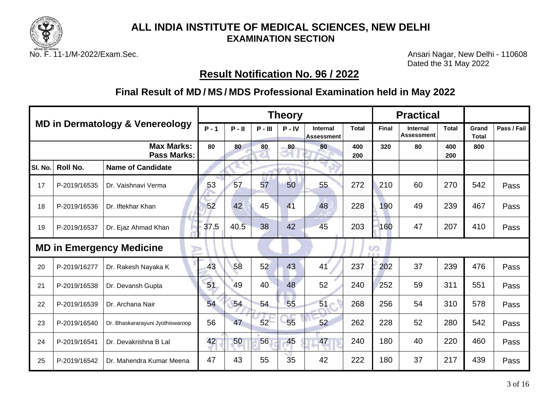

No. F. 11-1/M-2022/Exam.Sec. **Ansari Nagar, New Delhi - 110608** Dated the 31 May 2022

## **Result Notification No. 96 / 2022**

|         |                 |                                                  |         |          |           | <b>Theory</b> |                                      |              |              | <b>Practical</b>                     |              |                       |             |
|---------|-----------------|--------------------------------------------------|---------|----------|-----------|---------------|--------------------------------------|--------------|--------------|--------------------------------------|--------------|-----------------------|-------------|
|         |                 | <b>MD in Dermatology &amp; Venereology</b>       | $P - 1$ | $P - II$ | $P - III$ | $P - IV$      | <b>Internal</b><br><b>Assessment</b> | <b>Total</b> | <b>Final</b> | <b>Internal</b><br><b>Assessment</b> | <b>Total</b> | Grand<br><b>Total</b> | Pass / Fail |
|         |                 | <b>Max Marks:</b><br><b>Pass Marks:</b>          | 80      | 80       | 80        | 80            | 80                                   | 400<br>200   | 320          | 80                                   | 400<br>200   | 800                   |             |
| SI. No. | <b>Roll No.</b> | <b>Name of Candidate</b>                         |         |          |           |               |                                      |              |              |                                      |              |                       |             |
| 17      | P-2019/16535    | Dr. Vaishnavi Verma                              | 53      | 57       | 57        | 50            | 55                                   | 272          | 210          | 60                                   | 270          | 542                   | Pass        |
| 18      | P-2019/16536    | Dr. Iftekhar Khan                                | 52      | 42       | 45        | 41            | 48                                   | 228          | 190          | 49                                   | 239          | 467                   | Pass        |
| 19      | P-2019/16537    | Dr. Ejaz Ahmad Khan                              | 37.5    | 40.5     | 38        | 42            | 45                                   | 203          | 160          | 47                                   | 207          | 410                   | Pass        |
|         |                 | <b>MD in Emergency Medicine</b><br>$\Rightarrow$ |         |          |           |               |                                      |              | en           |                                      |              |                       |             |
| 20      | P-2019/16277    | Dr. Rakesh Nayaka K                              | 43      | 58       | 52        | 43            | 41                                   | 237          | 202          | 37                                   | 239          | 476                   | Pass        |
| 21      | P-2019/16538    | Dr. Devansh Gupta                                | 51      | 49       | 40        | 48            | 52                                   | 240          | 252          | 59                                   | 311          | 551                   | Pass        |
| 22      | P-2019/16539    | Dr. Archana Nair                                 | 54      | 54       | 54        | 55            | 51                                   | 268          | 256          | 54                                   | 310          | 578                   | Pass        |
| 23      | P-2019/16540    | Dr. Bhaskararayuni Jyothiswaroop                 | 56      | 47       | 52        | 55            | 52                                   | 262          | 228          | 52                                   | 280          | 542                   | Pass        |
| 24      | P-2019/16541    | Dr. Devakrishna B Lal                            | 42      | 50       | 56        | 45            | 47                                   | 240          | 180          | 40                                   | 220          | 460                   | Pass        |
| 25      | P-2019/16542    | Dr. Mahendra Kumar Meena                         | 47      | 43       | 55        | 35            | 42                                   | 222          | 180          | 37                                   | 217          | 439                   | Pass        |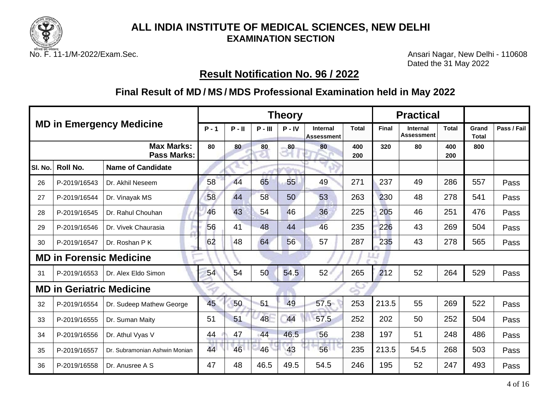

No. F. 11-1/M-2022/Exam.Sec. **Ansari Nagar, New Delhi - 110608** Dated the 31 May 2022

## **Result Notification No. 96 / 2022**

|         |              |                                         |         |          |           | <b>Theory</b> |                               |              |       | <b>Practical</b>                     |              |                |             |
|---------|--------------|-----------------------------------------|---------|----------|-----------|---------------|-------------------------------|--------------|-------|--------------------------------------|--------------|----------------|-------------|
|         |              | <b>MD in Emergency Medicine</b>         | $P - 1$ | $P - II$ | $P - III$ | $P - IV$      | <b>Internal</b><br>Assessment | <b>Total</b> | Final | <b>Internal</b><br><b>Assessment</b> | <b>Total</b> | Grand<br>Total | Pass / Fail |
|         |              | <b>Max Marks:</b><br><b>Pass Marks:</b> | 80      | 80       | 80        | 80            | 80                            | 400<br>200   | 320   | 80                                   | 400<br>200   | 800            |             |
| SI. No. | Roll No.     | <b>Name of Candidate</b>                |         |          |           |               |                               |              |       |                                      |              |                |             |
| 26      | P-2019/16543 | Dr. Akhil Neseem                        | 58      | 44       | 65        | 55            | 49                            | 271          | 237   | 49                                   | 286          | 557            | Pass        |
| 27      | P-2019/16544 | Dr. Vinayak MS                          | 58      | 44       | 58        | 50            | 53                            | 263          | 230   | 48                                   | 278          | 541            | Pass        |
| 28      | P-2019/16545 | Dr. Rahul Chouhan                       | 46      | 43       | 54        | 46            | 36                            | 225          | 205   | 46                                   | 251          | 476            | Pass        |
| 29      | P-2019/16546 | Dr. Vivek Chaurasia                     | 56      | 41       | 48        | 44            | 46                            | 235          | 226   | 43                                   | 269          | 504            | Pass        |
| 30      | P-2019/16547 | Dr. Roshan P K                          | 62      | 48       | 64        | 56            | 57                            | 287          | 235   | 43                                   | 278          | 565            | Pass        |
|         |              | <b>MD in Forensic Medicine</b>          |         |          |           |               |                               |              |       |                                      |              |                |             |
| 31      | P-2019/16553 | Dr. Alex Eldo Simon                     | 54      | 54       | 50        | 54.5          | 52 <sub>1</sub>               | 265          | 212   | 52                                   | 264          | 529            | Pass        |
|         |              | <b>MD in Geriatric Medicine</b>         |         |          |           |               |                               |              |       |                                      |              |                |             |
| 32      | P-2019/16554 | Dr. Sudeep Mathew George                | 45      | 50       | 51        | 49            | 57.5                          | 253          | 213.5 | 55                                   | 269          | 522            | Pass        |
| 33      | P-2019/16555 | Dr. Suman Maity                         | 51      | 51       | 48        | 44            | 57.5                          | 252          | 202   | 50                                   | 252          | 504            | Pass        |
| 34      | P-2019/16556 | Dr. Athul Vyas V                        | 44      | 47       | 44        | 46.5          | 56                            | 238          | 197   | 51                                   | 248          | 486            | Pass        |
| 35      | P-2019/16557 | Dr. Subramonian Ashwin Monian           | 44      | 46       | 46        | 43            | 56                            | 235          | 213.5 | 54.5                                 | 268          | 503            | Pass        |
| 36      | P-2019/16558 | Dr. Anusree A S                         | 47      | 48       | 46.5      | 49.5          | 54.5                          | 246          | 195   | 52                                   | 247          | 493            | Pass        |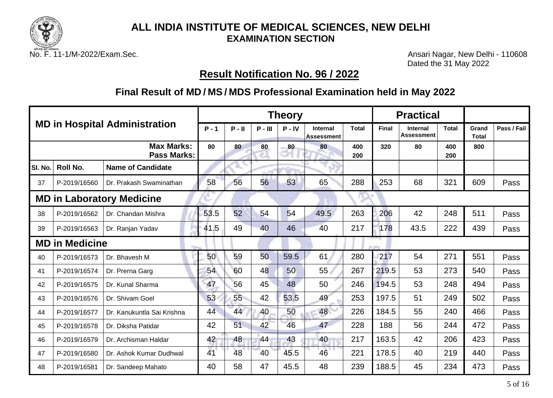

No. F. 11-1/M-2022/Exam.Sec. **Ansari Nagar, New Delhi - 110608** Dated the 31 May 2022

# **Result Notification No. 96 / 2022**

|         |                       |                                         |         |          |           | <b>Theory</b> |                               |              |              | <b>Practical</b>                     |              |                       |             |
|---------|-----------------------|-----------------------------------------|---------|----------|-----------|---------------|-------------------------------|--------------|--------------|--------------------------------------|--------------|-----------------------|-------------|
|         |                       | <b>MD in Hospital Administration</b>    | $P - 1$ | $P - II$ | $P - III$ | $P - IV$      | <b>Internal</b><br>Assessment | <b>Total</b> | <b>Final</b> | <b>Internal</b><br><b>Assessment</b> | <b>Total</b> | Grand<br><b>Total</b> | Pass / Fail |
|         |                       | <b>Max Marks:</b><br><b>Pass Marks:</b> | 80      | 80       | 80        | 80            | 80                            | 400<br>200   | 320          | 80                                   | 400<br>200   | 800                   |             |
| SI. No. | <b>Roll No.</b>       | <b>Name of Candidate</b>                |         |          |           |               |                               |              |              |                                      |              |                       |             |
| 37      | P-2019/16560          | Dr. Prakash Swaminathan                 | 58      | 56       | 56        | 53            | 65                            | 288          | 253          | 68                                   | 321          | 609                   | Pass        |
|         |                       | <b>MD in Laboratory Medicine</b>        |         |          |           |               |                               |              |              |                                      |              |                       |             |
| 38      | P-2019/16562          | Dr. Chandan Mishra                      | 53.5    | 52       | 54        | 54            | 49.5                          | 263          | 206          | 42                                   | 248          | 511                   | Pass        |
| 39      | P-2019/16563          | Dr. Ranjan Yadav                        | 41.5    | 49       | 40        | 46            | 40                            | 217          | 178          | 43.5                                 | 222          | 439                   | Pass        |
|         | <b>MD in Medicine</b> |                                         |         |          |           |               |                               |              |              |                                      |              |                       |             |
| 40      | P-2019/16573          | Dr. Bhavesh M                           | 50      | 59       | 50        | 59.5          | 61                            | 280          | 217          | 54                                   | 271          | 551                   | Pass        |
| 41      | P-2019/16574          | Dr. Prerna Garg                         | 54      | 60       | 48        | 50            | 55                            | 267          | 219.5        | 53                                   | 273          | 540                   | Pass        |
| 42      | P-2019/16575          | Dr. Kunal Sharma                        | 47      | 56       | 45        | 48            | 50                            | 246          | 194.5        | 53                                   | 248          | 494                   | Pass        |
| 43      | P-2019/16576          | Dr. Shivam Goel                         | 53      | 55       | 42        | 53.5          | 49                            | 253          | 197.5        | 51                                   | 249          | 502                   | Pass        |
| 44      | P-2019/16577          | Dr. Kanukuntla Sai Krishna              | 44      | 44       | 40        | 50            | 48                            | 226          | 184.5        | 55                                   | 240          | 466                   | Pass        |
| 45      | P-2019/16578          | Dr. Diksha Patidar                      | 42      | 51       | 42        | 46            | 47                            | 228          | 188          | 56                                   | 244          | 472                   | Pass        |
| 46      | P-2019/16579          | Dr. Archisman Haldar                    | 42      | 48       | 44        | 43            | 40                            | 217          | 163.5        | 42                                   | 206          | 423                   | Pass        |
| 47      | P-2019/16580          | Dr. Ashok Kumar Dudhwal                 | 41      | 48       | 40        | 45.5          | 46                            | 221          | 178.5        | 40                                   | 219          | 440                   | Pass        |
| 48      | P-2019/16581          | Dr. Sandeep Mahato                      | 40      | 58       | 47        | 45.5          | 48                            | 239          | 188.5        | 45                                   | 234          | 473                   | Pass        |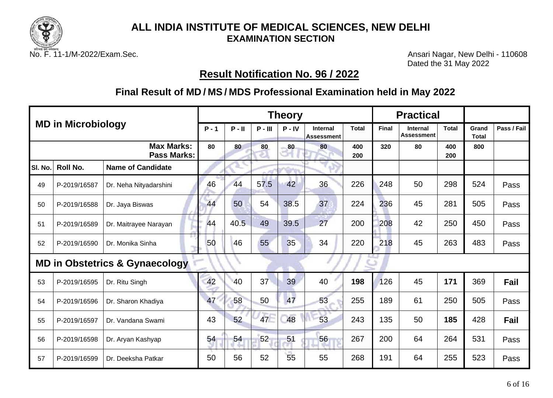

No. F. 11-1/M-2022/Exam.Sec. **Ansari Nagar, New Delhi - 110608** Dated the 31 May 2022

## **Result Notification No. 96 / 2022**

|         |                           |                                           |         |          |                 | <b>Theory</b> |                                      |              |              | <b>Practical</b>                     |              |                       |             |
|---------|---------------------------|-------------------------------------------|---------|----------|-----------------|---------------|--------------------------------------|--------------|--------------|--------------------------------------|--------------|-----------------------|-------------|
|         | <b>MD in Microbiology</b> |                                           | $P - 1$ | $P - II$ | $P - III$       | $P - IV$      | <b>Internal</b><br><b>Assessment</b> | <b>Total</b> | <b>Final</b> | <b>Internal</b><br><b>Assessment</b> | <b>Total</b> | Grand<br><b>Total</b> | Pass / Fail |
|         |                           | <b>Max Marks:</b><br><b>Pass Marks:</b>   | 80      | 80       | 80              | 80            | 80                                   | 400<br>200   | 320          | 80                                   | 400<br>200   | 800                   |             |
| SI. No. | <b>Roll No.</b>           | <b>Name of Candidate</b>                  |         |          |                 |               |                                      |              |              |                                      |              |                       |             |
| 49      | P-2019/16587              | Dr. Neha Nityadarshini                    | 46      | 44       | 57.5            | 42            | 36                                   | 226          | 248          | 50                                   | 298          | 524                   | Pass        |
| 50      | P-2019/16588              | Dr. Jaya Biswas                           | 44      | 50       | 54              | 38.5          | 37                                   | 224          | 236          | 45                                   | 281          | 505                   | Pass        |
| 51      | P-2019/16589              | Dr. Maitrayee Narayan                     | 44      | 40.5     | 49              | 39.5          | 27                                   | 200          | 208          | 42                                   | 250          | 450                   | Pass        |
| 52      | P-2019/16590              | Dr. Monika Sinha                          | 50      | 46       | 55              | 35            | 34                                   | 220          | 218          | 45                                   | 263          | 483                   | Pass        |
|         |                           | <b>MD in Obstetrics &amp; Gynaecology</b> |         |          |                 |               |                                      |              |              |                                      |              |                       |             |
| 53      | P-2019/16595              | Dr. Ritu Singh                            | 42      | 40       | 37 <sup>2</sup> | 39            | 40                                   | 198          | 126          | 45                                   | 171          | 369                   | Fail        |
| 54      | P-2019/16596              | Dr. Sharon Khadiya                        | 47      | 58       | 50              | 47            | 53                                   | 255          | 189          | 61                                   | 250          | 505                   | Pass        |
| 55      | P-2019/16597              | Dr. Vandana Swami                         | 43      | 52       | 47              | 48            | 53                                   | 243          | 135          | 50                                   | 185          | 428                   | <b>Fail</b> |
| 56      | P-2019/16598              | Dr. Aryan Kashyap                         | 54      | 54       | 52              | 51            | 56                                   | 267          | 200          | 64                                   | 264          | 531                   | Pass        |
| 57      | P-2019/16599              | Dr. Deeksha Patkar                        | 50      | 56       | 52              | 55            | 55                                   | 268          | 191          | 64                                   | 255          | 523                   | Pass        |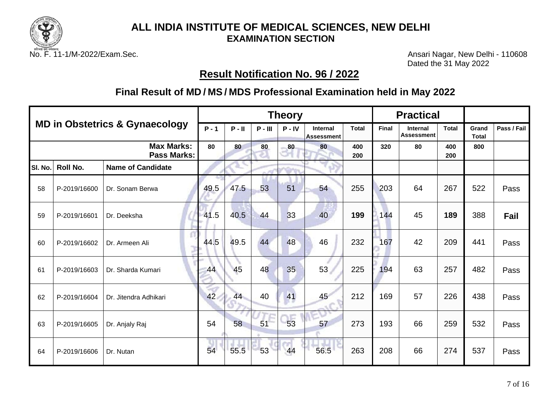

No. F. 11-1/M-2022/Exam.Sec. **Ansari Nagar, New Delhi - 110608** Dated the 31 May 2022

## **Result Notification No. 96 / 2022**

|         |              |                                           |         |          |           | <b>Theory</b> |                                      |              |              | <b>Practical</b>                     |              |                       |             |
|---------|--------------|-------------------------------------------|---------|----------|-----------|---------------|--------------------------------------|--------------|--------------|--------------------------------------|--------------|-----------------------|-------------|
|         |              | <b>MD in Obstetrics &amp; Gynaecology</b> | $P - 1$ | $P - II$ | $P - III$ | $P - IV$      | <b>Internal</b><br><b>Assessment</b> | <b>Total</b> | <b>Final</b> | <b>Internal</b><br><b>Assessment</b> | <b>Total</b> | Grand<br><b>Total</b> | Pass / Fail |
|         |              | <b>Max Marks:</b><br><b>Pass Marks:</b>   | 80      | 80       | 80        | 80            | 80                                   | 400<br>200   | 320          | 80                                   | 400<br>200   | 800                   |             |
| SI. No. | Roll No.     | <b>Name of Candidate</b>                  |         |          |           | ū۸            |                                      |              |              |                                      |              |                       |             |
| 58      | P-2019/16600 | Dr. Sonam Berwa                           | 49.5    | 47.5     | 53        | 51            | 54                                   | 255          | 203          | 64                                   | 267          | 522                   | Pass        |
| 59      | P-2019/16601 | Dr. Deeksha                               | 41.5    | 40.5     | 44        | 33            | 40                                   | 199          | 144          | 45                                   | 189          | 388                   | Fail        |
| 60      | P-2019/16602 | Dr. Armeen Ali                            | 44.5    | 49.5     | 44        | 48            | 46                                   | 232          | 167          | 42                                   | 209          | 441                   | Pass        |
| 61      | P-2019/16603 | Dr. Sharda Kumari                         | 44      | 45       | 48        | 35            | 53                                   | 225          | 194          | 63                                   | 257          | 482                   | Pass        |
| 62      | P-2019/16604 | Dr. Jitendra Adhikari                     | 42      | 44       | 40        | 41            | 45                                   | 212          | 169          | 57                                   | 226          | 438                   | Pass        |
| 63      | P-2019/16605 | Dr. Anjaly Raj                            | 54      | 58       | 51        | Е<br>53       | 57                                   | 273          | 193          | 66                                   | 259          | 532                   | Pass        |
| 64      | P-2019/16606 | Dr. Nutan                                 | 54      | 55.5     | 53        | 44            | 56.5                                 | 263          | 208          | 66                                   | 274          | 537                   | Pass        |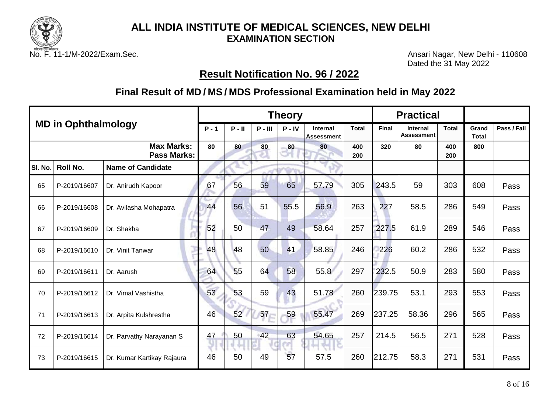

No. F. 11-1/M-2022/Exam.Sec. **Ansari Nagar, New Delhi - 110608** Dated the 31 May 2022

## **Result Notification No. 96 / 2022**

|         |                            |                                         |         |          |           | <b>Theory</b> |                                      |              |              | <b>Practical</b>                     |              |                       |             |
|---------|----------------------------|-----------------------------------------|---------|----------|-----------|---------------|--------------------------------------|--------------|--------------|--------------------------------------|--------------|-----------------------|-------------|
|         | <b>MD in Ophthalmology</b> |                                         | $P - 1$ | $P - II$ | $P - III$ | $P - IV$      | <b>Internal</b><br><b>Assessment</b> | <b>Total</b> | <b>Final</b> | <b>Internal</b><br><b>Assessment</b> | <b>Total</b> | Grand<br><b>Total</b> | Pass / Fail |
|         |                            | <b>Max Marks:</b><br><b>Pass Marks:</b> | 80      | 80       | 80        | 80            | 80                                   | 400<br>200   | 320          | 80                                   | 400<br>200   | 800                   |             |
| SI. No. | <b>Roll No.</b>            | <b>Name of Candidate</b>                |         |          |           |               |                                      |              |              |                                      |              |                       |             |
| 65      | P-2019/16607               | Dr. Anirudh Kapoor                      | 67      | 56       | 59        | 65            | 57.79                                | 305          | 243.5        | 59                                   | 303          | 608                   | Pass        |
| 66      | P-2019/16608               | Dr. Avilasha Mohapatra                  | 44      | 56       | 51        | 55.5          | 56.9                                 | 263          | 227          | 58.5                                 | 286          | 549                   | Pass        |
| 67      | P-2019/16609               | Dr. Shakha                              | 52      | 50       | 47        | 49            | 58.64                                | 257          | 227.5        | 61.9                                 | 289          | 546                   | Pass        |
| 68      | P-2019/16610               | Dr. Vinit Tanwar                        | 48      | 48       | 50        | 41            | 58.85                                | 246          | 226          | 60.2                                 | 286          | 532                   | Pass        |
| 69      | P-2019/16611               | Dr. Aarush                              | 64      | 55       | 64        | 58            | 55.8                                 | 297          | 232.5        | 50.9                                 | 283          | 580                   | Pass        |
| 70      | P-2019/16612               | Dr. Vimal Vashistha                     | 53      | 53       | 59        | 43            | 51.78                                | 260          | 239.75       | 53.1                                 | 293          | 553                   | Pass        |
| 71      | P-2019/16613               | Dr. Arpita Kulshrestha                  | 46      | 52       | $57 -$    | 59            | 55.47                                | 269          | 237.25       | 58.36                                | 296          | 565                   | Pass        |
| 72      | P-2019/16614               | Dr. Parvathy Narayanan S                | 47      | 50       | 42        | 63            | 54.65                                | 257          | 214.5        | 56.5                                 | 271          | 528                   | Pass        |
| 73      | P-2019/16615               | Dr. Kumar Kartikay Rajaura              | 46      | 50       | 49        | 57            | 57.5                                 | 260          | 212.75       | 58.3                                 | 271          | 531                   | Pass        |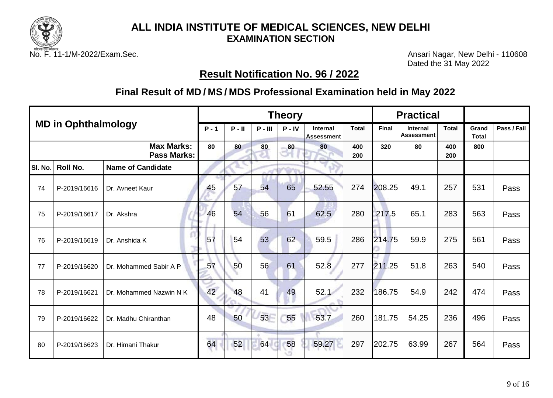

No. F. 11-1/M-2022/Exam.Sec. **Ansari Nagar, New Delhi - 110608** Dated the 31 May 2022

## **Result Notification No. 96 / 2022**

|         |                            |                                         |         |          |           | <b>Theory</b> |                        |              |        | <b>Practical</b>              |              |                       |             |
|---------|----------------------------|-----------------------------------------|---------|----------|-----------|---------------|------------------------|--------------|--------|-------------------------------|--------------|-----------------------|-------------|
|         | <b>MD in Ophthalmology</b> |                                         | $P - 1$ | $P - II$ | $P - III$ | $P - IV$      | Internal<br>Assessment | <b>Total</b> | Final  | Internal<br><b>Assessment</b> | <b>Total</b> | Grand<br><b>Total</b> | Pass / Fail |
|         |                            | <b>Max Marks:</b><br><b>Pass Marks:</b> | 80      | 80       | 80        | 80            | 80                     | 400<br>200   | 320    | 80                            | 400<br>200   | 800                   |             |
| SI. No. | Roll No.                   | <b>Name of Candidate</b>                |         |          |           |               |                        |              |        |                               |              |                       |             |
| 74      | P-2019/16616               | Dr. Avneet Kaur                         | 45      | 57       | 54        | 65            | 52.55                  | 274          | 208.25 | 49.1                          | 257          | 531                   | Pass        |
| 75      | P-2019/16617               | Dr. Akshra                              | 46      | 54       | 56        | 61            | 62.5                   | 280          | 217.5  | 65.1                          | 283          | 563                   | Pass        |
| 76      | P-2019/16619               | Dr. Anshida K                           | 57      | 54       | 53        | 62            | 59.5                   | 286          | 214.75 | 59.9                          | 275          | 561                   | Pass        |
| 77      | P-2019/16620               | Dr. Mohammed Sabir A P                  | 57      | 50       | 56        | 61            | 52.8                   | 277          | 211.25 | 51.8                          | 263          | 540                   | Pass        |
| 78      | P-2019/16621               | Dr. Mohammed Nazwin N K                 | 42      | 48       | 41        | 49            | 52.1                   | 232          | 186.75 | 54.9                          | 242          | 474                   | Pass        |
| 79      | P-2019/16622               | Dr. Madhu Chiranthan                    | 48      | 50       | 53        | 55            | 53.7                   | 260          | 181.75 | 54.25                         | 236          | 496                   | Pass        |
| 80      | P-2019/16623               | Dr. Himani Thakur                       | 64      | 52       | 64        | 58            | 59.27                  | 297          | 202.75 | 63.99                         | 267          | 564                   | Pass        |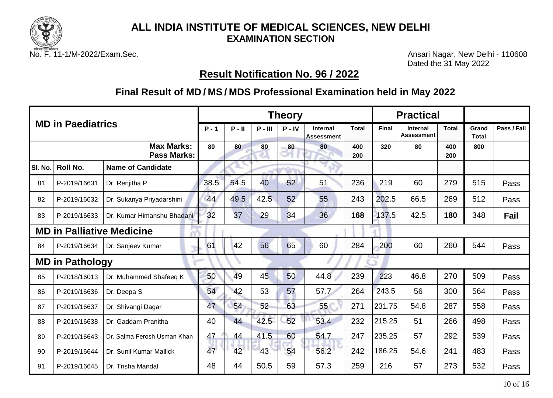

No. F. 11-1/M-2022/Exam.Sec. **Ansari Nagar, New Delhi - 110608** Dated the 31 May 2022

## **Result Notification No. 96 / 2022**

|         |                          |                                         |         |          |           | <b>Theory</b> |                               |              |              | <b>Practical</b>       |              |                       |             |
|---------|--------------------------|-----------------------------------------|---------|----------|-----------|---------------|-------------------------------|--------------|--------------|------------------------|--------------|-----------------------|-------------|
|         | <b>MD in Paediatrics</b> |                                         | $P - 1$ | $P - II$ | $P - III$ | $P - IV$      | Internal<br><b>Assessment</b> | <b>Total</b> | <b>Final</b> | Internal<br>Assessment | <b>Total</b> | Grand<br><b>Total</b> | Pass / Fail |
|         |                          | <b>Max Marks:</b><br><b>Pass Marks:</b> | 80      | 80       | 80        | 80            | 80                            | 400<br>200   | 320          | 80                     | 400<br>200   | 800                   |             |
| SI. No. | <b>Roll No.</b>          | <b>Name of Candidate</b>                |         |          |           |               |                               |              |              |                        |              |                       |             |
| 81      | P-2019/16631             | Dr. Renjitha P                          | 38.5    | 54.5     | 40        | 52            | 51                            | 236          | 219          | 60                     | 279          | 515                   | Pass        |
| 82      | P-2019/16632             | Dr. Sukanya Priyadarshini               | 44      | 49.5     | 42.5      | 52            | 55                            | 243          | 202.5        | 66.5                   | 269          | 512                   | Pass        |
| 83      | P-2019/16633             | Dr. Kumar Himanshu Bhadani              | 32      | 37       | 29        | 34            | 36                            | 168          | 137.5        | 42.5                   | 180          | 348                   | Fail        |
|         |                          | <b>MD in Palliative Medicine</b>        |         |          |           |               |                               |              |              |                        |              |                       |             |
| 84      | P-2019/16634             | Dr. Sanjeev Kumar                       | 61      | 42       | 56        | 65            | 60                            | 284          | 200          | 60                     | 260          | 544                   | Pass        |
|         | <b>MD in Pathology</b>   |                                         |         |          |           |               |                               |              |              |                        |              |                       |             |
| 85      | P-2018/16013             | Dr. Muhammed Shafeeq K                  | 50      | 49       | 45        | 50            | 44.8                          | 239          | 223          | 46.8                   | 270          | 509                   | Pass        |
| 86      | P-2019/16636             | Dr. Deepa S                             | 54      | 42       | 53        | 57            | 57.7                          | 264          | 243.5        | 56                     | 300          | 564                   | Pass        |
| 87      | P-2019/16637             | Dr. Shivangi Dagar                      | 47      | 54       | 52        | 63            | 55                            | 271          | 231.75       | 54.8                   | 287          | 558                   | Pass        |
| 88      | P-2019/16638             | Dr. Gaddam Pranitha                     | 40      | 44       | 42.5      | 52            | 53.4                          | 232          | 215.25       | 51                     | 266          | 498                   | Pass        |
| 89      | P-2019/16643             | Dr. Salma Ferosh Usman Khan             | 47      | 44       | 41.5      | 60            | 54.7                          | 247          | 235.25       | 57                     | 292          | 539                   | Pass        |
| 90      | P-2019/16644             | Dr. Sunil Kumar Mallick                 | 47      | 42       | 43        | 54            | 56.2                          | 242          | 186.25       | 54.6                   | 241          | 483                   | Pass        |
| 91      | P-2019/16645             | Dr. Trisha Mandal                       | 48      | 44       | 50.5      | 59            | 57.3                          | 259          | 216          | 57                     | 273          | 532                   | Pass        |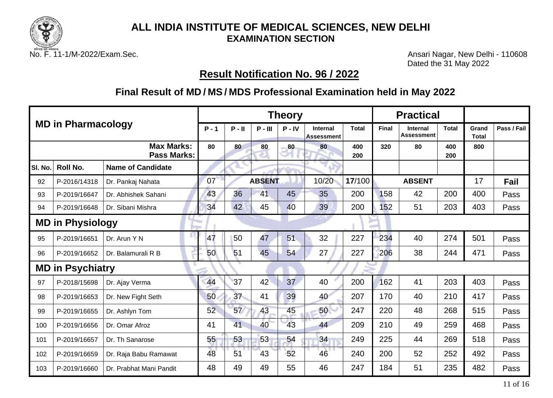

No. F. 11-1/M-2022/Exam.Sec. **Ansari Nagar, New Delhi - 110608** Dated the 31 May 2022

# **Result Notification No. 96 / 2022**

|         |                           |                                         |         |                 |               | <b>Theory</b> |                               |              |              | <b>Practical</b>                     |              |                       |             |
|---------|---------------------------|-----------------------------------------|---------|-----------------|---------------|---------------|-------------------------------|--------------|--------------|--------------------------------------|--------------|-----------------------|-------------|
|         | <b>MD in Pharmacology</b> |                                         | $P - 1$ | $P - II$        | $P - III$     | $P - IV$      | <b>Internal</b><br>Assessment | <b>Total</b> | <b>Final</b> | <b>Internal</b><br><b>Assessment</b> | <b>Total</b> | Grand<br><b>Total</b> | Pass / Fail |
|         |                           | <b>Max Marks:</b><br><b>Pass Marks:</b> | 80      | 80              | 80            | 80            | 80                            | 400<br>200   | 320          | 80                                   | 400<br>200   | 800                   |             |
| SI. No. | Roll No.                  | <b>Name of Candidate</b>                |         |                 |               |               |                               |              |              |                                      |              |                       |             |
| 92      | P-2016/14318              | Dr. Pankaj Nahata                       | 07      |                 | <b>ABSENT</b> |               | 10/20                         | 17/100       |              | <b>ABSENT</b>                        |              | 17                    | Fail        |
| 93      | P-2019/16647              | Dr. Abhishek Sahani                     | 43      | 36              | 41            | 45            | 35                            | 200          | 158          | 42                                   | 200          | 400                   | Pass        |
| 94      | P-2019/16648              | Dr. Sibani Mishra                       | 34      | 42              | 45            | 40            | 39                            | 200          | 152          | 51                                   | 203          | 403                   | Pass        |
|         | <b>MD in Physiology</b>   |                                         |         |                 |               |               |                               |              |              |                                      |              |                       |             |
| 95      | P-2019/16651              | Dr. Arun Y N                            | 47      | 50              | 47            | 51            | 32                            | 227          | 234          | 40                                   | 274          | 501                   | Pass        |
| 96      | P-2019/16652              | Dr. Balamurali R B                      | 50      | 51              | 45            | 54            | 27                            | 227          | 206          | 38                                   | 244          | 471                   | Pass        |
|         | <b>MD in Psychiatry</b>   |                                         |         |                 |               |               |                               |              |              |                                      |              |                       |             |
| 97      | P-2018/15698              | Dr. Ajay Verma                          | 44      | 37              | 42            | 37            | 40                            | 200          | 162          | 41                                   | 203          | 403                   | Pass        |
| 98      | P-2019/16653              | Dr. New Fight Seth                      | 50      | 37 <sup>2</sup> | 41            | 39            | 40                            | 207          | 170          | 40                                   | 210          | 417                   | Pass        |
| 99      | P-2019/16655              | Dr. Ashlyn Tom                          | 52      | 57              | 43            | 45            | 50                            | 247          | 220          | 48                                   | 268          | 515                   | Pass        |
| 100     | P-2019/16656              | Dr. Omar Afroz                          | 41      | 41              | 40            | 43            | 44                            | 209          | 210          | 49                                   | 259          | 468                   | Pass        |
| 101     | P-2019/16657              | Dr. Th Sanarose                         | 55      | 53              | 53            | 54            | 34                            | 249          | 225          | 44                                   | 269          | 518                   | Pass        |
| 102     | P-2019/16659              | Dr. Raja Babu Ramawat                   | 48      | 51              | 43            | 52            | 46                            | 240          | 200          | 52                                   | 252          | 492                   | Pass        |
| 103     | P-2019/16660              | Dr. Prabhat Mani Pandit                 | 48      | 49              | 49            | 55            | 46                            | 247          | 184          | 51                                   | 235          | 482                   | Pass        |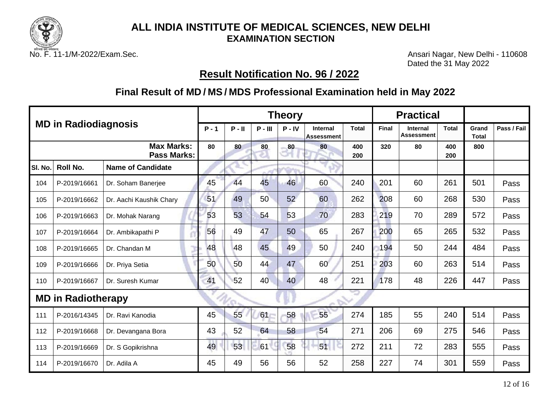

No. F. 11-1/M-2022/Exam.Sec. **Ansari Nagar, New Delhi - 110608** Dated the 31 May 2022

# **Result Notification No. 96 / 2022**

|         |                             |                                         |         |          |                | <b>Theory</b> |                                      |              |              | <b>Practical</b>                     |              |                       |             |
|---------|-----------------------------|-----------------------------------------|---------|----------|----------------|---------------|--------------------------------------|--------------|--------------|--------------------------------------|--------------|-----------------------|-------------|
|         | <b>MD in Radiodiagnosis</b> |                                         | $P - 1$ | $P - II$ | $P - III$      | $P - IV$      | <b>Internal</b><br><b>Assessment</b> | <b>Total</b> | <b>Final</b> | <b>Internal</b><br><b>Assessment</b> | <b>Total</b> | Grand<br><b>Total</b> | Pass / Fail |
|         |                             | <b>Max Marks:</b><br><b>Pass Marks:</b> | 80      | 80       | 80             | 80            | 80                                   | 400<br>200   | 320          | 80                                   | 400<br>200   | 800                   |             |
| SI. No. | Roll No.                    | <b>Name of Candidate</b>                |         |          |                |               |                                      |              |              |                                      |              |                       |             |
| 104     | P-2019/16661                | Dr. Soham Banerjee                      | 45      | 44       | 4 <sub>5</sub> | 46            | 60                                   | 240          | 201          | 60                                   | 261          | 501                   | Pass        |
| 105     | P-2019/16662                | Dr. Aachi Kaushik Chary                 | 51      | 49       | 50             | 52            | 60                                   | 262          | 208          | 60                                   | 268          | 530                   | Pass        |
| 106     | P-2019/16663                | Dr. Mohak Narang                        | 53      | 53       | 54             | 53            | 70                                   | 283          | 219          | 70                                   | 289          | 572                   | Pass        |
| 107     | P-2019/16664                | Dr. Ambikapathi P                       | 56      | 49       | 47             | 50            | 65                                   | 267          | 200          | 65                                   | 265          | 532                   | Pass        |
| 108     | P-2019/16665                | Dr. Chandan M                           | 48      | 48       | 45             | 49            | 50                                   | 240          | 194          | 50                                   | 244          | 484                   | Pass        |
| 109     | P-2019/16666                | Dr. Priya Setia                         | 50      | 50       | 44             | 47            | 60                                   | 251          | 203          | 60                                   | 263          | 514                   | Pass        |
| 110     | P-2019/16667                | Dr. Suresh Kumar                        | 41      | 52       | 40             | 40            | 48                                   | 221          | 178          | 48                                   | 226          | 447                   | Pass        |
|         | <b>MD in Radiotherapy</b>   |                                         |         |          |                |               |                                      | ⋍            |              |                                      |              |                       |             |
| 111     | P-2016/14345                | Dr. Ravi Kanodia                        | 45      | 55       | 61             | 58            | 55                                   | 274          | 185          | 55                                   | 240          | 514                   | Pass        |
| 112     | P-2019/16668                | Dr. Devangana Bora                      | 43      | 52       | 64             | 58            | 54                                   | 271          | 206          | 69                                   | 275          | 546                   | Pass        |
| 113     | P-2019/16669                | Dr. S Gopikrishna                       | 49      | 53       | 61             | 58            | 51                                   | 272          | 211          | 72                                   | 283          | 555                   | Pass        |
| 114     | P-2019/16670                | Dr. Adila A                             | 45      | 49       | 56             | 56            | 52                                   | 258          | 227          | 74                                   | 301          | 559                   | Pass        |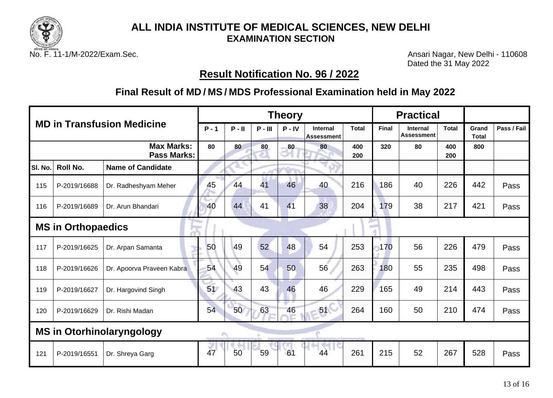

No. F. 11-1/M-2022/Exam.Sec. **Ansari Nagar, New Delhi - 110608** Dated the 31 May 2022

## **Result Notification No. 96 / 2022**

| <b>MD in Transfusion Medicine</b> |                           |                                         | <b>Theory</b> |           |          |                               |              |              |                               | <b>Practical</b> |                       |             |      |
|-----------------------------------|---------------------------|-----------------------------------------|---------------|-----------|----------|-------------------------------|--------------|--------------|-------------------------------|------------------|-----------------------|-------------|------|
|                                   |                           | $P - 1$                                 | $P - II$      | $P - III$ | $P - IV$ | Internal<br><b>Assessment</b> | <b>Total</b> | <b>Final</b> | Internal<br><b>Assessment</b> | <b>Total</b>     | Grand<br><b>Total</b> | Pass / Fail |      |
|                                   |                           | <b>Max Marks:</b><br><b>Pass Marks:</b> | 80            | 80        | 80       | 80                            | 80           | 400<br>200   | 320                           | 80               | 400<br>200            | 800         |      |
| SI. No.                           | <b>Roll No.</b>           | <b>Name of Candidate</b>                |               |           |          |                               |              |              |                               |                  |                       |             |      |
| 115                               | P-2019/16688              | Dr. Radheshyam Meher                    | 45            | 44        | 41       | 46                            | 40           | 216          | 186                           | 40               | 226                   | 442         | Pass |
| 116                               | P-2019/16689              | Dr. Arun Bhandari                       | 40            | 44        | 41       | 41                            | 38           | 204          | 179                           | 38               | 217                   | 421         | Pass |
|                                   | <b>MS in Orthopaedics</b> |                                         |               |           |          |                               |              |              |                               |                  |                       |             |      |
| 117                               | P-2019/16625              | Dr. Arpan Samanta                       | 50            | 49        | 52       | 48                            | 54           | 253          | 170                           | 56               | 226                   | 479         | Pass |
| 118                               | P-2019/16626              | Dr. Apoorva Praveen Kabra               | 54            | 49        | 54       | 50                            | 56           | 263          | 180                           | 55               | 235                   | 498         | Pass |
| 119                               | P-2019/16627              | Dr. Hargovind Singh                     | 51            | 43        | 43       | 46                            | 46           | 229          | 165                           | 49               | 214                   | 443         | Pass |
| 120                               | P-2019/16629              | Dr. Rishi Madan                         | 54            | 50        | 63       | 46                            | 51           | 264          | 160                           | 50               | 210                   | 474         | Pass |
|                                   |                           | <b>MS in Otorhinolaryngology</b>        |               |           |          |                               |              |              |                               |                  |                       |             |      |
| 121                               | P-2019/16551              | Dr. Shreya Garg                         | 47            | 50        | 59       | 61                            | 44           | 261          | 215                           | 52               | 267                   | 528         | Pass |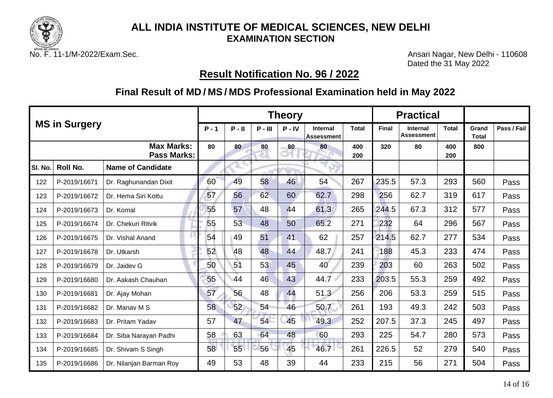

No. F. 11-1/M-2022/Exam.Sec. **Ansari Nagar, New Delhi - 110608** Dated the 31 May 2022

# **Result Notification No. 96 / 2022**

|         |                      |                                         |          |           |          | <b>Theory</b>                 |              |              | <b>Practical</b>                     |              |                       |             |      |
|---------|----------------------|-----------------------------------------|----------|-----------|----------|-------------------------------|--------------|--------------|--------------------------------------|--------------|-----------------------|-------------|------|
|         | <b>MS in Surgery</b> | $P - 1$                                 | $P - II$ | $P - III$ | $P - IV$ | <b>Internal</b><br>Assessment | <b>Total</b> | <b>Final</b> | <b>Internal</b><br><b>Assessment</b> | <b>Total</b> | Grand<br><b>Total</b> | Pass / Fail |      |
|         |                      | <b>Max Marks:</b><br><b>Pass Marks:</b> | 80       | 80        | 80       | 80                            | 80           | 400<br>200   | 320                                  | 80           | 400<br>200            | 800         |      |
| SI. No. | <b>Roll No.</b>      | <b>Name of Candidate</b>                |          |           |          |                               |              |              |                                      |              |                       |             |      |
| 122     | P-2019/16671         | Dr. Raghunandan Dixit                   | 60       | 49        | 58       | 46                            | 54           | 267          | 235.5                                | 57.3         | 293                   | 560         | Pass |
| 123     | P-2019/16672         | Dr. Hema Siri Kottu                     | 57       | 56        | 62       | 60                            | 62.7         | 298          | 256                                  | 62.7         | 319                   | 617         | Pass |
| 124     | P-2019/16673         | Dr. Komal                               | 55       | 57        | 48       | 44                            | 61.3         | 265          | 244.5                                | 67.3         | 312                   | 577         | Pass |
| 125     | P-2019/16674         | Dr. Chekuri Ritvik                      | 55       | 53        | 48       | 50                            | 65.2         | 271          | 232                                  | 64           | 296                   | 567         | Pass |
| 126     | P-2019/16675         | Dr. Vishal Anand                        | 54       | 49        | 51       | 41                            | 62           | 257          | 214.5                                | 62.7         | 277                   | 534         | Pass |
| 127     | P-2019/16678         | Dr. Utkarsh                             | 52       | 48        | 48       | 44                            | 48.7         | 241          | 188                                  | 45.3         | 233                   | 474         | Pass |
| 128     | P-2019/16679         | Dr. Jaidev G                            | 50       | 51        | 53       | 45                            | 40           | 239          | 203                                  | 60           | 263                   | 502         | Pass |
| 129     | P-2019/16680         | Dr. Aakash Chauhan                      | 55       | 44        | 46       | 43                            | 44.7         | 233          | 203.5                                | 55.3         | 259                   | 492         | Pass |
| 130     | P-2019/16681         | Dr. Ajay Mohan                          | 57       | 56        | 48       | 44                            | 51.3         | 256          | 206                                  | 53.3         | 259                   | 515         | Pass |
| 131     | P-2019/16682         | Dr. Manav M S                           | 58       | 52        | 54       | 46                            | 50.7         | 261          | 193                                  | 49.3         | 242                   | 503         | Pass |
| 132     | P-2019/16683         | Dr. Pritam Yadav                        | 57       | 47        | 54       | 45                            | 49.3         | 252          | 207.5                                | 37.3         | 245                   | 497         | Pass |
| 133     | P-2019/16684         | Dr. Siba Narayan Padhi                  | 58       | 63        | 64       | 48                            | 60           | 293          | 225                                  | 54.7         | 280                   | 573         | Pass |
| 134     | P-2019/16685         | Dr. Shivam S Singh                      | 58       | 55        | 56       | 45                            | 46.7         | 261          | 226.5                                | 52           | 279                   | 540         | Pass |
| 135     | P-2019/16686         | Dr. Nilanjan Barman Roy                 | 49       | 53        | 48       | 39                            | 44           | 233          | 215                                  | 56           | 271                   | 504         | Pass |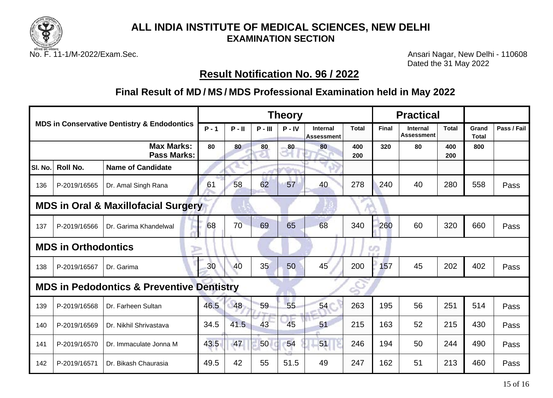

No. F. 11-1/M-2022/Exam.Sec. **Ansari Nagar, New Delhi - 110608** Dated the 31 May 2022

## **Result Notification No. 96 / 2022**

|         |                                                        |                                                | <b>Theory</b> |      |           |          |                                      |              |              | <b>Practical</b>                     |              |                       |             |
|---------|--------------------------------------------------------|------------------------------------------------|---------------|------|-----------|----------|--------------------------------------|--------------|--------------|--------------------------------------|--------------|-----------------------|-------------|
|         | <b>MDS in Conservative Dentistry &amp; Endodontics</b> |                                                |               |      | $P - III$ | $P - IV$ | <b>Internal</b><br><b>Assessment</b> | <b>Total</b> | <b>Final</b> | <b>Internal</b><br><b>Assessment</b> | <b>Total</b> | Grand<br><b>Total</b> | Pass / Fail |
|         |                                                        | <b>Max Marks:</b><br><b>Pass Marks:</b>        | 80            | 80   | 80        | 80       | 80                                   | 400<br>200   | 320          | 80                                   | 400<br>200   | 800                   |             |
| SI. No. | Roll No.                                               | <b>Name of Candidate</b>                       |               |      |           |          |                                      |              |              |                                      |              |                       |             |
| 136     | P-2019/16565                                           | Dr. Amal Singh Rana                            | 61            | 58   | 62        | 57       | 40                                   | 278          | 240          | 40                                   | 280          | 558                   | Pass        |
|         |                                                        | <b>MDS in Oral &amp; Maxillofacial Surgery</b> |               |      |           |          |                                      |              |              |                                      |              |                       |             |
| 137     | P-2019/16566                                           | Dr. Garima Khandelwal                          | 68            | 70   | 69        | 65       | 68                                   | 340          | 260          | 60                                   | 320          | 660                   | Pass        |
|         | <b>MDS in Orthodontics</b>                             | $\Rightarrow$                                  |               |      |           |          |                                      |              | en           |                                      |              |                       |             |
| 138     | P-2019/16567                                           | Dr. Garima                                     | 30            | 40   | 35        | 50       | 45                                   | 200          | 157          | 45                                   | 202          | 402                   | Pass        |
|         | <b>MDS in Pedodontics &amp; Preventive Dentistry</b>   |                                                |               |      |           |          |                                      |              |              |                                      |              |                       |             |
| 139     | P-2019/16568                                           | Dr. Farheen Sultan                             | 46.5          | 48   | 59        | 55       | 54                                   | 263          | 195          | 56                                   | 251          | 514                   | Pass        |
| 140     | P-2019/16569                                           | Dr. Nikhil Shrivastava                         | 34.5          | 41.5 | 43        | 45       | 51                                   | 215          | 163          | 52                                   | 215          | 430                   | Pass        |
| 141     | P-2019/16570                                           | Dr. Immaculate Jonna M                         | 43.5          | 47   | 50        | 54       | 51                                   | 246          | 194          | 50                                   | 244          | 490                   | Pass        |
| 142     | P-2019/16571                                           | Dr. Bikash Chaurasia                           | 49.5          | 42   | 55        | 51.5     | 49                                   | 247          | 162          | 51                                   | 213          | 460                   | Pass        |